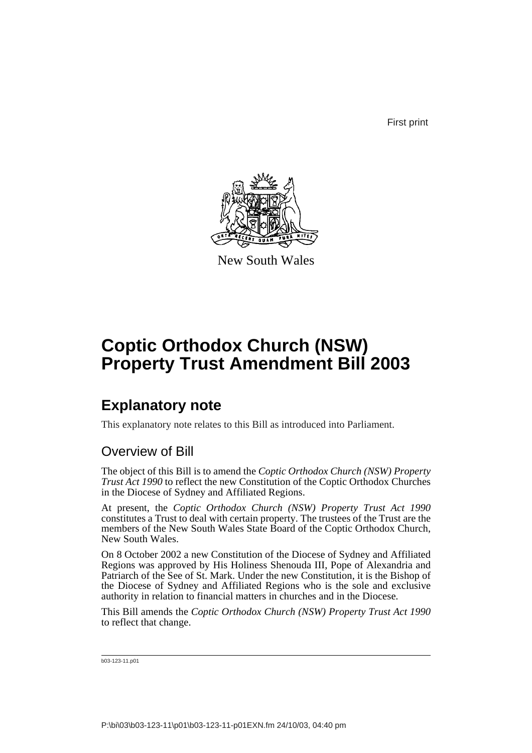First print



New South Wales

# **Coptic Orthodox Church (NSW) Property Trust Amendment Bill 2003**

## **Explanatory note**

This explanatory note relates to this Bill as introduced into Parliament.

## Overview of Bill

The object of this Bill is to amend the *Coptic Orthodox Church (NSW) Property Trust Act 1990* to reflect the new Constitution of the Coptic Orthodox Churches in the Diocese of Sydney and Affiliated Regions.

At present, the *Coptic Orthodox Church (NSW) Property Trust Act 1990* constitutes a Trust to deal with certain property. The trustees of the Trust are the members of the New South Wales State Board of the Coptic Orthodox Church, New South Wales.

On 8 October 2002 a new Constitution of the Diocese of Sydney and Affiliated Regions was approved by His Holiness Shenouda III, Pope of Alexandria and Patriarch of the See of St. Mark. Under the new Constitution, it is the Bishop of the Diocese of Sydney and Affiliated Regions who is the sole and exclusive authority in relation to financial matters in churches and in the Diocese.

This Bill amends the *Coptic Orthodox Church (NSW) Property Trust Act 1990* to reflect that change.

b03-123-11.p01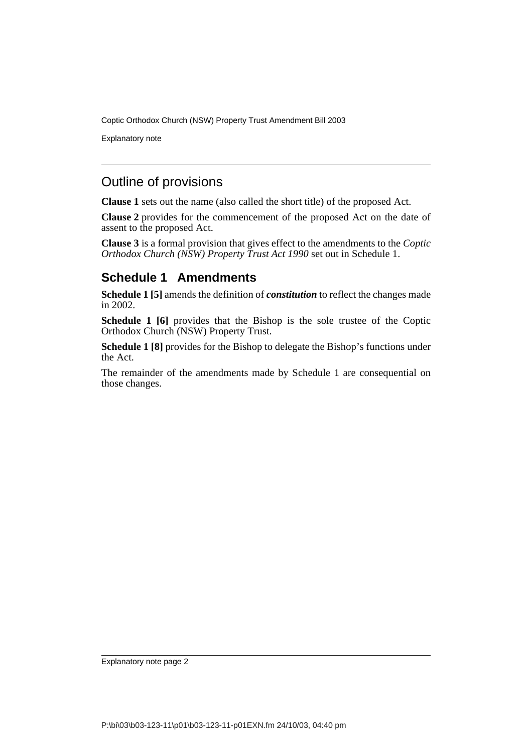Explanatory note

## Outline of provisions

**Clause 1** sets out the name (also called the short title) of the proposed Act.

**Clause 2** provides for the commencement of the proposed Act on the date of assent to the proposed Act.

**Clause 3** is a formal provision that gives effect to the amendments to the *Coptic Orthodox Church (NSW) Property Trust Act 1990* set out in Schedule 1.

### **Schedule 1 Amendments**

**Schedule 1 [5]** amends the definition of *constitution* to reflect the changes made in 2002.

**Schedule 1 [6]** provides that the Bishop is the sole trustee of the Coptic Orthodox Church (NSW) Property Trust.

**Schedule 1 [8]** provides for the Bishop to delegate the Bishop's functions under the Act.

The remainder of the amendments made by Schedule 1 are consequential on those changes.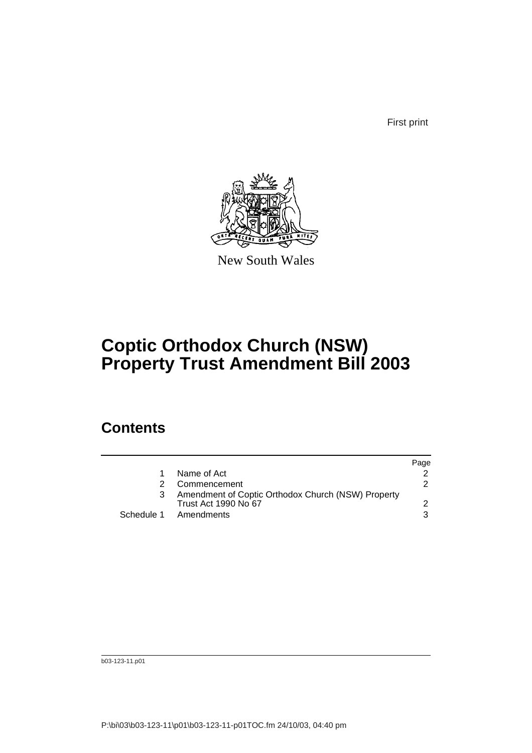First print



New South Wales

# **Coptic Orthodox Church (NSW) Property Trust Amendment Bill 2003**

## **Contents**

|                                                                                   | Page |
|-----------------------------------------------------------------------------------|------|
| Name of Act                                                                       |      |
| Commencement                                                                      | 2    |
| Amendment of Coptic Orthodox Church (NSW) Property<br><b>Trust Act 1990 No 67</b> |      |
| Schedule 1 Amendments                                                             | 3    |
|                                                                                   |      |

b03-123-11.p01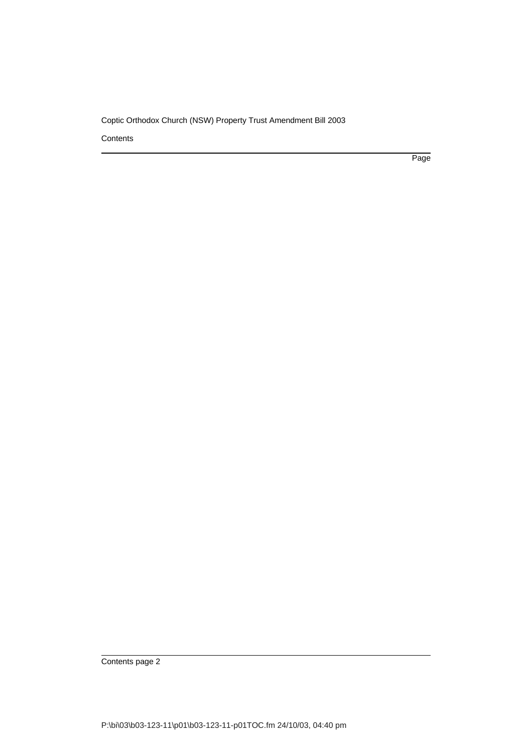**Contents** 

Page

Contents page 2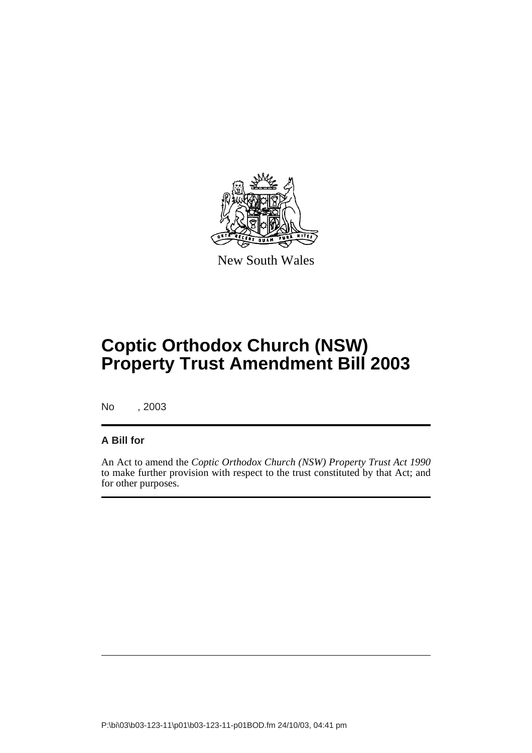

New South Wales

# **Coptic Orthodox Church (NSW) Property Trust Amendment Bill 2003**

No , 2003

#### **A Bill for**

An Act to amend the *Coptic Orthodox Church (NSW) Property Trust Act 1990* to make further provision with respect to the trust constituted by that Act; and for other purposes.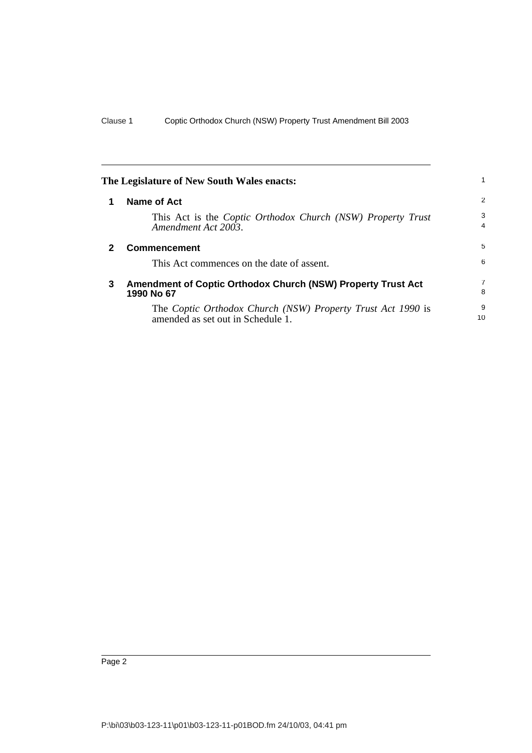<span id="page-5-2"></span><span id="page-5-1"></span><span id="page-5-0"></span>

|              | The Legislature of New South Wales enacts:                                                       |                     |
|--------------|--------------------------------------------------------------------------------------------------|---------------------|
| 1            | Name of Act                                                                                      | 2                   |
|              | This Act is the <i>Coptic Orthodox Church</i> (NSW) <i>Property Trust</i><br>Amendment Act 2003. | 3<br>$\overline{4}$ |
| $\mathbf{2}$ | <b>Commencement</b>                                                                              | 5                   |
|              | This Act commences on the date of assent.                                                        | 6                   |
| 3            | <b>Amendment of Coptic Orthodox Church (NSW) Property Trust Act</b><br>1990 No 67                | $\overline{7}$<br>8 |
|              | The Coptic Orthodox Church (NSW) Property Trust Act 1990 is<br>amended as set out in Schedule 1. | 9<br>10             |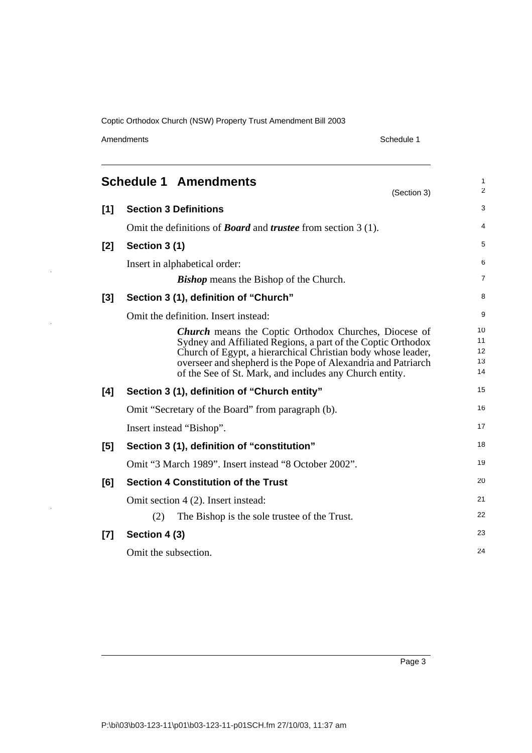Amendments Schedule 1

J.

<span id="page-6-0"></span>

| <b>Schedule 1 Amendments</b><br>(Section 3) |                                                                                                                                                                                                                                                                                                                          |                            |  |
|---------------------------------------------|--------------------------------------------------------------------------------------------------------------------------------------------------------------------------------------------------------------------------------------------------------------------------------------------------------------------------|----------------------------|--|
| [1]                                         | <b>Section 3 Definitions</b>                                                                                                                                                                                                                                                                                             | 3                          |  |
|                                             | Omit the definitions of <b>Board</b> and <b>trustee</b> from section $3(1)$ .                                                                                                                                                                                                                                            | 4                          |  |
| [2]                                         | Section 3 (1)                                                                                                                                                                                                                                                                                                            | 5                          |  |
|                                             | Insert in alphabetical order:                                                                                                                                                                                                                                                                                            | 6                          |  |
|                                             | <b>Bishop</b> means the Bishop of the Church.                                                                                                                                                                                                                                                                            | 7                          |  |
| $[3]$                                       | Section 3 (1), definition of "Church"                                                                                                                                                                                                                                                                                    | 8                          |  |
|                                             | Omit the definition. Insert instead:                                                                                                                                                                                                                                                                                     | 9                          |  |
|                                             | <b>Church</b> means the Coptic Orthodox Churches, Diocese of<br>Sydney and Affiliated Regions, a part of the Coptic Orthodox<br>Church of Egypt, a hierarchical Christian body whose leader,<br>overseer and shepherd is the Pope of Alexandria and Patriarch<br>of the See of St. Mark, and includes any Church entity. | 10<br>11<br>12<br>13<br>14 |  |
| [4]                                         | Section 3 (1), definition of "Church entity"                                                                                                                                                                                                                                                                             | 15                         |  |
|                                             | Omit "Secretary of the Board" from paragraph (b).                                                                                                                                                                                                                                                                        | 16                         |  |
|                                             | Insert instead "Bishop".                                                                                                                                                                                                                                                                                                 | 17                         |  |
| [5]                                         | Section 3 (1), definition of "constitution"                                                                                                                                                                                                                                                                              | 18                         |  |
|                                             | Omit "3 March 1989". Insert instead "8 October 2002".                                                                                                                                                                                                                                                                    | 19                         |  |
| [6]                                         | <b>Section 4 Constitution of the Trust</b>                                                                                                                                                                                                                                                                               | 20                         |  |
|                                             | Omit section 4 (2). Insert instead:                                                                                                                                                                                                                                                                                      | 21                         |  |
|                                             | (2)<br>The Bishop is the sole trustee of the Trust.                                                                                                                                                                                                                                                                      | 22                         |  |
| $[7]$                                       | Section 4 (3)                                                                                                                                                                                                                                                                                                            | 23                         |  |
|                                             | Omit the subsection.                                                                                                                                                                                                                                                                                                     | 24                         |  |

Page 3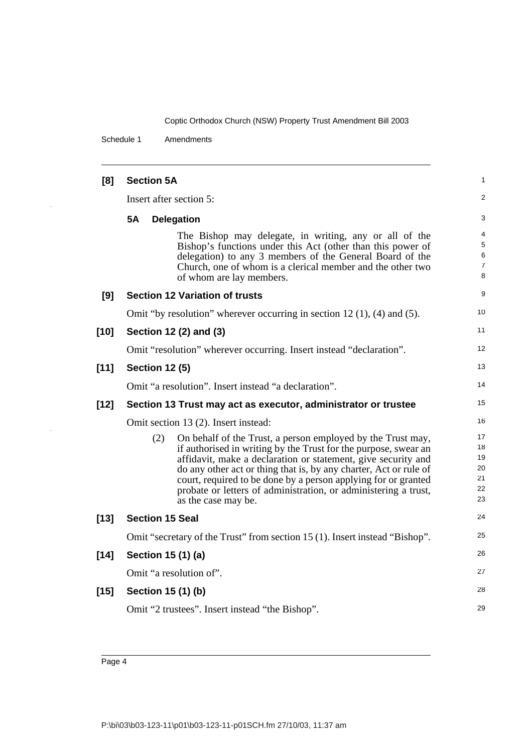Schedule 1 Amendments

| [8]    | <b>Section 5A</b>                     |                                                                                                                                                                                                                                                                                                                                                                                                                                  |                                        |
|--------|---------------------------------------|----------------------------------------------------------------------------------------------------------------------------------------------------------------------------------------------------------------------------------------------------------------------------------------------------------------------------------------------------------------------------------------------------------------------------------|----------------------------------------|
|        | Insert after section 5:               |                                                                                                                                                                                                                                                                                                                                                                                                                                  |                                        |
|        | <b>5A</b><br><b>Delegation</b>        |                                                                                                                                                                                                                                                                                                                                                                                                                                  | 3                                      |
|        |                                       | The Bishop may delegate, in writing, any or all of the<br>Bishop's functions under this Act (other than this power of<br>delegation) to any 3 members of the General Board of the<br>Church, one of whom is a clerical member and the other two<br>of whom are lay members.                                                                                                                                                      | 4<br>5<br>6<br>7<br>8                  |
| [9]    | <b>Section 12 Variation of trusts</b> |                                                                                                                                                                                                                                                                                                                                                                                                                                  | 9                                      |
|        |                                       | Omit "by resolution" wherever occurring in section 12 $(1)$ , $(4)$ and $(5)$ .                                                                                                                                                                                                                                                                                                                                                  | 10                                     |
| $[10]$ | Section 12 (2) and (3)                |                                                                                                                                                                                                                                                                                                                                                                                                                                  | 11                                     |
|        |                                       | Omit "resolution" wherever occurring. Insert instead "declaration".                                                                                                                                                                                                                                                                                                                                                              | 12                                     |
| $[11]$ | <b>Section 12 (5)</b>                 |                                                                                                                                                                                                                                                                                                                                                                                                                                  | 13                                     |
|        |                                       | Omit "a resolution". Insert instead "a declaration".                                                                                                                                                                                                                                                                                                                                                                             | 14                                     |
|        |                                       |                                                                                                                                                                                                                                                                                                                                                                                                                                  |                                        |
| $[12]$ |                                       | Section 13 Trust may act as executor, administrator or trustee                                                                                                                                                                                                                                                                                                                                                                   | 15                                     |
|        |                                       | Omit section 13 (2). Insert instead:                                                                                                                                                                                                                                                                                                                                                                                             | 16                                     |
|        | (2)                                   | On behalf of the Trust, a person employed by the Trust may,<br>if authorised in writing by the Trust for the purpose, swear an<br>affidavit, make a declaration or statement, give security and<br>do any other act or thing that is, by any charter, Act or rule of<br>court, required to be done by a person applying for or granted<br>probate or letters of administration, or administering a trust,<br>as the case may be. | 17<br>18<br>19<br>20<br>21<br>22<br>23 |
| $[13]$ | <b>Section 15 Seal</b>                |                                                                                                                                                                                                                                                                                                                                                                                                                                  | 24                                     |
|        |                                       | Omit "secretary of the Trust" from section 15 (1). Insert instead "Bishop".                                                                                                                                                                                                                                                                                                                                                      | 25                                     |
| $[14]$ | Section 15 (1) (a)                    |                                                                                                                                                                                                                                                                                                                                                                                                                                  | 26                                     |
|        | Omit "a resolution of".               |                                                                                                                                                                                                                                                                                                                                                                                                                                  | 27                                     |
| $[15]$ | Section 15 (1) (b)                    |                                                                                                                                                                                                                                                                                                                                                                                                                                  | 28                                     |

Page 4